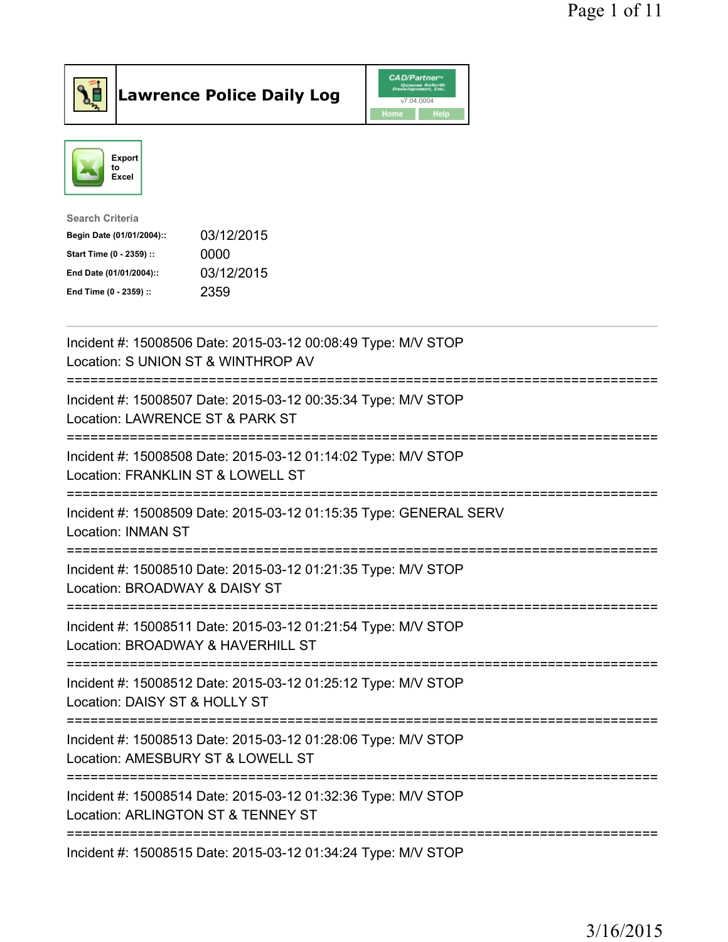

## $\vert$ Lawrence Police Daily Log

|            | <b>CAD/Partner</b> <sup>*</sup><br>Queues Enforth<br>Development, Inc. |  |
|------------|------------------------------------------------------------------------|--|
| v7.04.0004 |                                                                        |  |
| Home       | Help                                                                   |  |



| Search Criteria           |            |
|---------------------------|------------|
| Begin Date (01/01/2004):: | 03/12/2015 |
| Start Time (0 - 2359) ::  | 0000       |
| End Date (01/01/2004)::   | 03/12/2015 |
| End Time (0 - 2359) ::    | 2359       |
|                           |            |

| Incident #: 15008506 Date: 2015-03-12 00:08:49 Type: M/V STOP<br>Location: S UNION ST & WINTHROP AV                                                    |
|--------------------------------------------------------------------------------------------------------------------------------------------------------|
| Incident #: 15008507 Date: 2015-03-12 00:35:34 Type: M/V STOP<br>Location: LAWRENCE ST & PARK ST                                                       |
| Incident #: 15008508 Date: 2015-03-12 01:14:02 Type: M/V STOP<br>Location: FRANKLIN ST & LOWELL ST                                                     |
| Incident #: 15008509 Date: 2015-03-12 01:15:35 Type: GENERAL SERV<br><b>Location: INMAN ST</b><br>:=====================                               |
| Incident #: 15008510 Date: 2015-03-12 01:21:35 Type: M/V STOP<br>Location: BROADWAY & DAISY ST                                                         |
| Incident #: 15008511 Date: 2015-03-12 01:21:54 Type: M/V STOP<br>Location: BROADWAY & HAVERHILL ST<br>=============================<br>=============== |
| Incident #: 15008512 Date: 2015-03-12 01:25:12 Type: M/V STOP<br>Location: DAISY ST & HOLLY ST                                                         |
| Incident #: 15008513 Date: 2015-03-12 01:28:06 Type: M/V STOP<br>Location: AMESBURY ST & LOWELL ST                                                     |
| Incident #: 15008514 Date: 2015-03-12 01:32:36 Type: M/V STOP<br>Location: ARLINGTON ST & TENNEY ST                                                    |
| Incident #: 15008515 Date: 2015-03-12 01:34:24 Type: M/V STOP                                                                                          |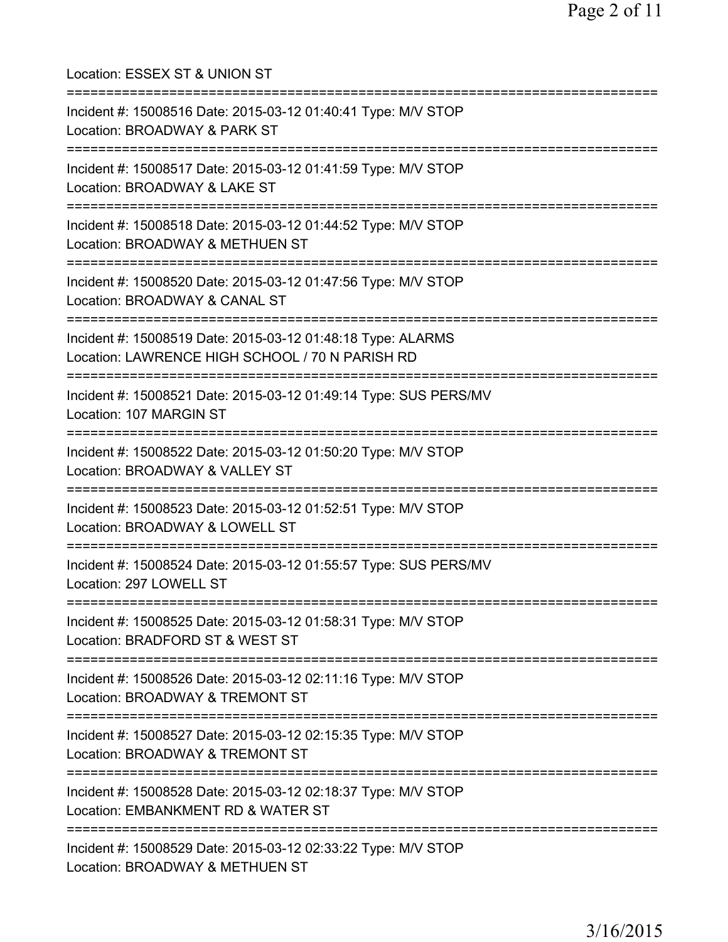| Location: ESSEX ST & UNION ST                                                                                                      |
|------------------------------------------------------------------------------------------------------------------------------------|
| Incident #: 15008516 Date: 2015-03-12 01:40:41 Type: M/V STOP<br>Location: BROADWAY & PARK ST<br>=========================         |
| Incident #: 15008517 Date: 2015-03-12 01:41:59 Type: M/V STOP<br>Location: BROADWAY & LAKE ST<br>------------------------          |
| Incident #: 15008518 Date: 2015-03-12 01:44:52 Type: M/V STOP<br>Location: BROADWAY & METHUEN ST<br>:============================= |
| Incident #: 15008520 Date: 2015-03-12 01:47:56 Type: M/V STOP<br>Location: BROADWAY & CANAL ST<br>----------------------           |
| Incident #: 15008519 Date: 2015-03-12 01:48:18 Type: ALARMS<br>Location: LAWRENCE HIGH SCHOOL / 70 N PARISH RD                     |
| Incident #: 15008521 Date: 2015-03-12 01:49:14 Type: SUS PERS/MV<br>Location: 107 MARGIN ST                                        |
| Incident #: 15008522 Date: 2015-03-12 01:50:20 Type: M/V STOP<br>Location: BROADWAY & VALLEY ST                                    |
| :========================<br>Incident #: 15008523 Date: 2015-03-12 01:52:51 Type: M/V STOP<br>Location: BROADWAY & LOWELL ST       |
| Incident #: 15008524 Date: 2015-03-12 01:55:57 Type: SUS PERS/MV<br>Location: 297 LOWELL ST                                        |
| Incident #: 15008525 Date: 2015-03-12 01:58:31 Type: M/V STOP<br>Location: BRADFORD ST & WEST ST                                   |
| Incident #: 15008526 Date: 2015-03-12 02:11:16 Type: M/V STOP<br>Location: BROADWAY & TREMONT ST                                   |
| Incident #: 15008527 Date: 2015-03-12 02:15:35 Type: M/V STOP<br>Location: BROADWAY & TREMONT ST                                   |
| Incident #: 15008528 Date: 2015-03-12 02:18:37 Type: M/V STOP<br>Location: EMBANKMENT RD & WATER ST                                |
| Incident #: 15008529 Date: 2015-03-12 02:33:22 Type: M/V STOP<br>Location: BROADWAY & METHUEN ST                                   |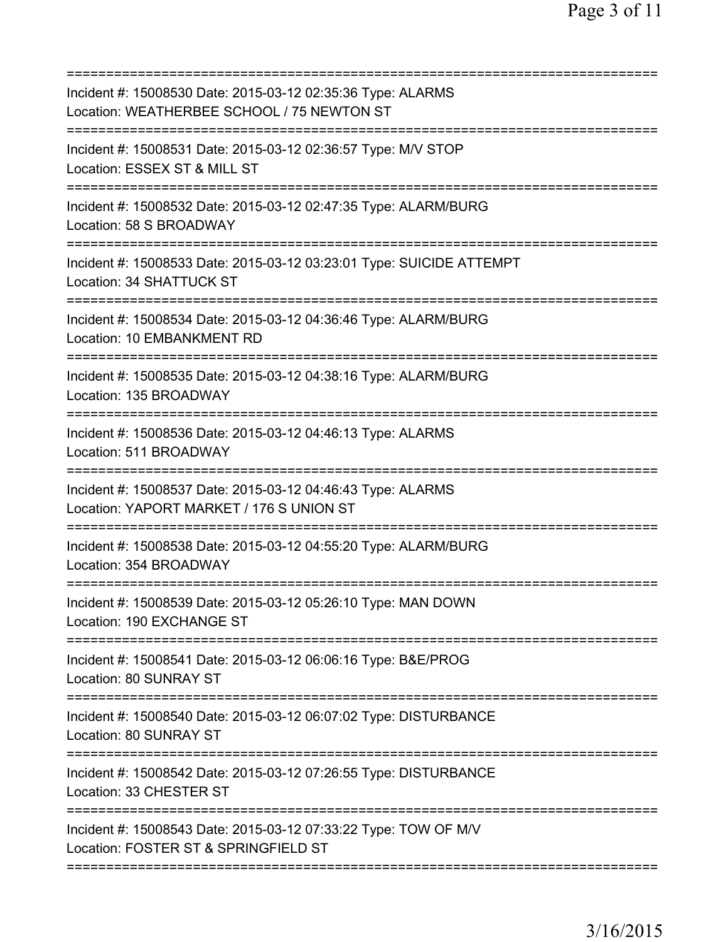| Incident #: 15008530 Date: 2015-03-12 02:35:36 Type: ALARMS<br>Location: WEATHERBEE SCHOOL / 75 NEWTON ST |
|-----------------------------------------------------------------------------------------------------------|
| Incident #: 15008531 Date: 2015-03-12 02:36:57 Type: M/V STOP<br>Location: ESSEX ST & MILL ST             |
| Incident #: 15008532 Date: 2015-03-12 02:47:35 Type: ALARM/BURG<br>Location: 58 S BROADWAY                |
| Incident #: 15008533 Date: 2015-03-12 03:23:01 Type: SUICIDE ATTEMPT<br>Location: 34 SHATTUCK ST          |
| Incident #: 15008534 Date: 2015-03-12 04:36:46 Type: ALARM/BURG<br>Location: 10 EMBANKMENT RD             |
| Incident #: 15008535 Date: 2015-03-12 04:38:16 Type: ALARM/BURG<br>Location: 135 BROADWAY                 |
| Incident #: 15008536 Date: 2015-03-12 04:46:13 Type: ALARMS<br>Location: 511 BROADWAY                     |
| Incident #: 15008537 Date: 2015-03-12 04:46:43 Type: ALARMS<br>Location: YAPORT MARKET / 176 S UNION ST   |
| Incident #: 15008538 Date: 2015-03-12 04:55:20 Type: ALARM/BURG<br>Location: 354 BROADWAY                 |
| Incident #: 15008539 Date: 2015-03-12 05:26:10 Type: MAN DOWN<br>Location: 190 EXCHANGE ST                |
| Incident #: 15008541 Date: 2015-03-12 06:06:16 Type: B&E/PROG<br>Location: 80 SUNRAY ST                   |
| Incident #: 15008540 Date: 2015-03-12 06:07:02 Type: DISTURBANCE<br>Location: 80 SUNRAY ST                |
| Incident #: 15008542 Date: 2015-03-12 07:26:55 Type: DISTURBANCE<br>Location: 33 CHESTER ST               |
| Incident #: 15008543 Date: 2015-03-12 07:33:22 Type: TOW OF M/V<br>Location: FOSTER ST & SPRINGFIELD ST   |
|                                                                                                           |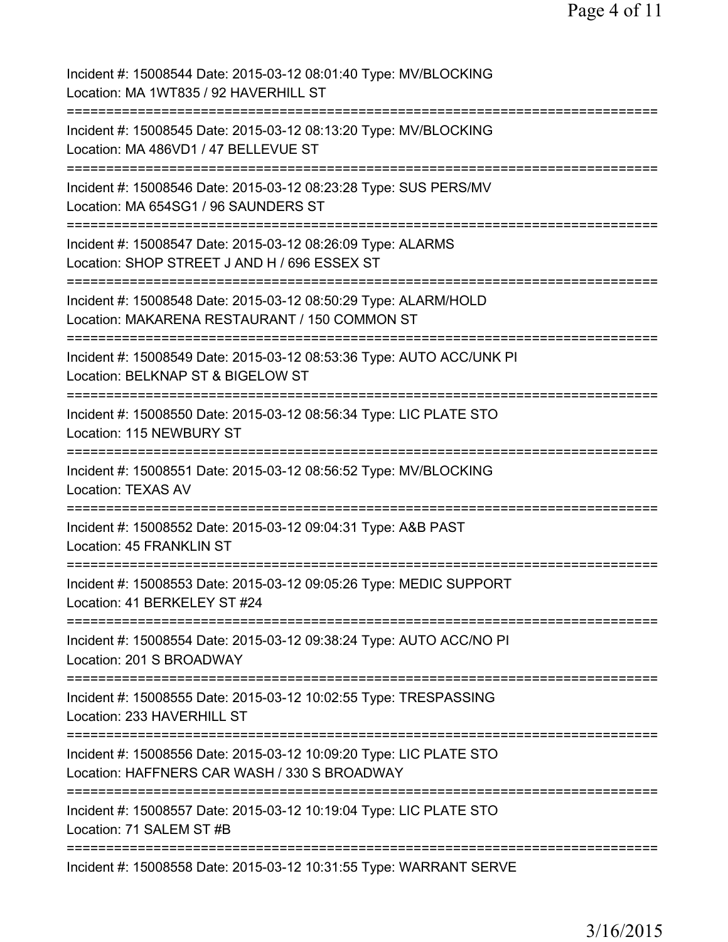Page 4 of 11

Incident #: 15008544 Date: 2015-03-12 08:01:40 Type: MV/BLOCKING Location: MA 1WT835 / 92 HAVERHILL ST =========================================================================== Incident #: 15008545 Date: 2015-03-12 08:13:20 Type: MV/BLOCKING Location: MA 486VD1 / 47 BELLEVUE ST =========================================================================== Incident #: 15008546 Date: 2015-03-12 08:23:28 Type: SUS PERS/MV Location: MA 654SG1 / 96 SAUNDERS ST =========================================================================== Incident #: 15008547 Date: 2015-03-12 08:26:09 Type: ALARMS Location: SHOP STREET J AND H / 696 ESSEX ST =========================================================================== Incident #: 15008548 Date: 2015-03-12 08:50:29 Type: ALARM/HOLD Location: MAKARENA RESTAURANT / 150 COMMON ST =========================================================================== Incident #: 15008549 Date: 2015-03-12 08:53:36 Type: AUTO ACC/UNK PI Location: BELKNAP ST & BIGELOW ST =========================================================================== Incident #: 15008550 Date: 2015-03-12 08:56:34 Type: LIC PLATE STO Location: 115 NEWBURY ST =========================================================================== Incident #: 15008551 Date: 2015-03-12 08:56:52 Type: MV/BLOCKING Location: TEXAS AV =========================================================================== Incident #: 15008552 Date: 2015-03-12 09:04:31 Type: A&B PAST Location: 45 FRANKLIN ST =========================================================================== Incident #: 15008553 Date: 2015-03-12 09:05:26 Type: MEDIC SUPPORT Location: 41 BERKELEY ST #24 =========================================================================== Incident #: 15008554 Date: 2015-03-12 09:38:24 Type: AUTO ACC/NO PI Location: 201 S BROADWAY =========================================================================== Incident #: 15008555 Date: 2015-03-12 10:02:55 Type: TRESPASSING Location: 233 HAVERHILL ST =========================================================================== Incident #: 15008556 Date: 2015-03-12 10:09:20 Type: LIC PLATE STO Location: HAFFNERS CAR WASH / 330 S BROADWAY =========================================================================== Incident #: 15008557 Date: 2015-03-12 10:19:04 Type: LIC PLATE STO Location: 71 SALEM ST #B =========================================================================== Incident #: 15008558 Date: 2015-03-12 10:31:55 Type: WARRANT SERVE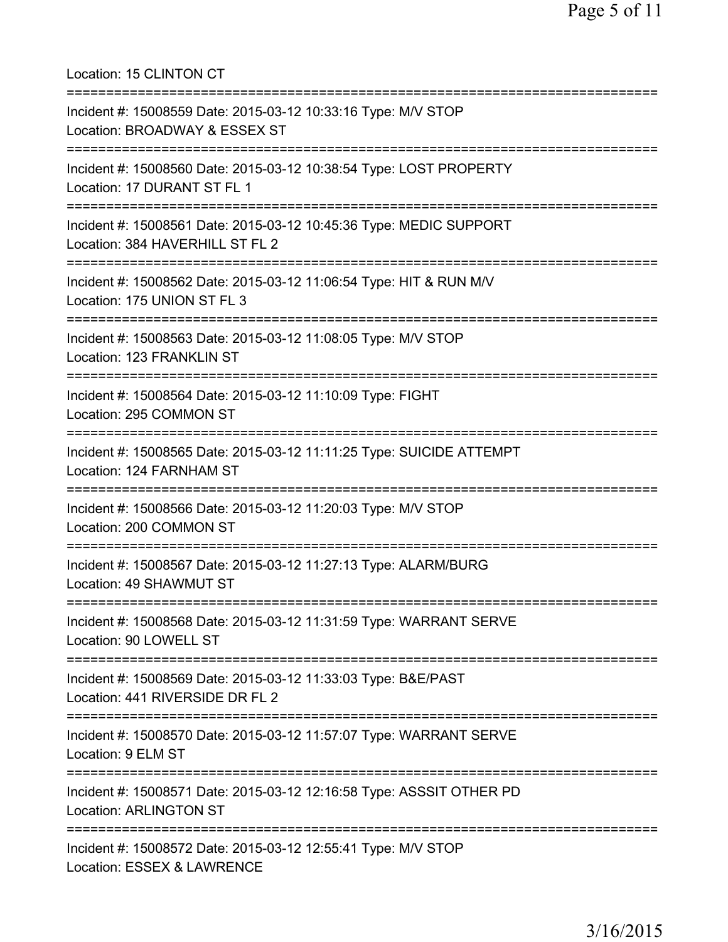Location: 15 CLINTON CT =========================================================================== Incident #: 15008559 Date: 2015-03-12 10:33:16 Type: M/V STOP Location: BROADWAY & ESSEX ST =========================================================================== Incident #: 15008560 Date: 2015-03-12 10:38:54 Type: LOST PROPERTY Location: 17 DURANT ST FL 1 =========================================================================== Incident #: 15008561 Date: 2015-03-12 10:45:36 Type: MEDIC SUPPORT Location: 384 HAVERHILL ST FL 2 =========================================================================== Incident #: 15008562 Date: 2015-03-12 11:06:54 Type: HIT & RUN M/V Location: 175 UNION ST FL 3 =========================================================================== Incident #: 15008563 Date: 2015-03-12 11:08:05 Type: M/V STOP Location: 123 FRANKLIN ST =========================================================================== Incident #: 15008564 Date: 2015-03-12 11:10:09 Type: FIGHT Location: 295 COMMON ST =========================================================================== Incident #: 15008565 Date: 2015-03-12 11:11:25 Type: SUICIDE ATTEMPT Location: 124 FARNHAM ST =========================================================================== Incident #: 15008566 Date: 2015-03-12 11:20:03 Type: M/V STOP Location: 200 COMMON ST =========================================================================== Incident #: 15008567 Date: 2015-03-12 11:27:13 Type: ALARM/BURG Location: 49 SHAWMUT ST =========================================================================== Incident #: 15008568 Date: 2015-03-12 11:31:59 Type: WARRANT SERVE Location: 90 LOWELL ST =========================================================================== Incident #: 15008569 Date: 2015-03-12 11:33:03 Type: B&E/PAST Location: 441 RIVERSIDE DR FL 2 =========================================================================== Incident #: 15008570 Date: 2015-03-12 11:57:07 Type: WARRANT SERVE Location: 9 ELM ST =========================================================================== Incident #: 15008571 Date: 2015-03-12 12:16:58 Type: ASSSIT OTHER PD Location: ARLINGTON ST =========================================================================== Incident #: 15008572 Date: 2015-03-12 12:55:41 Type: M/V STOP Location: ESSEX & LAWRENCE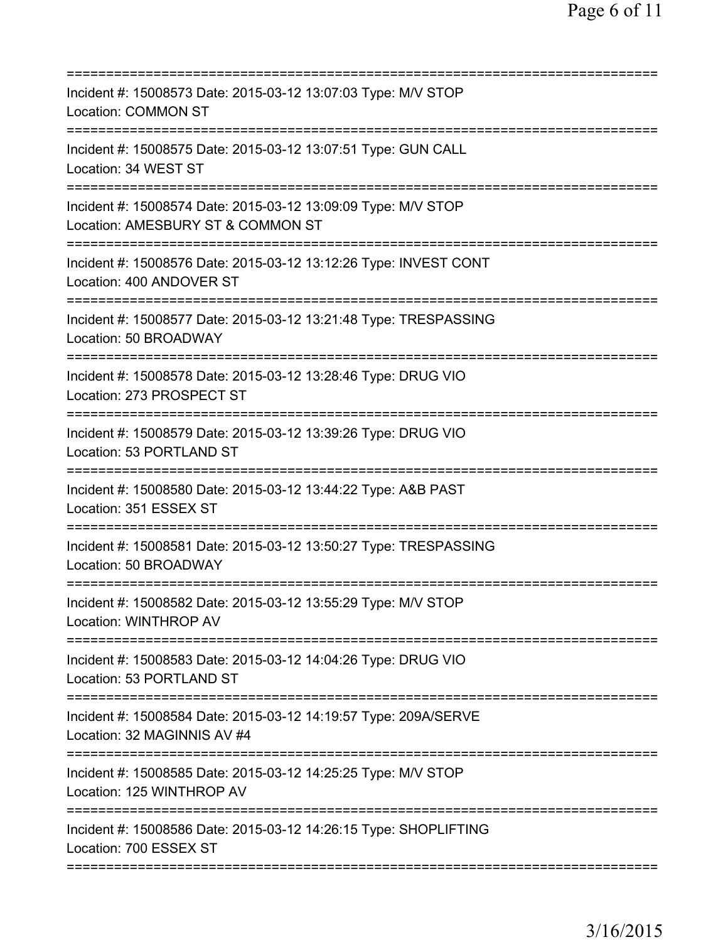| Incident #: 15008573 Date: 2015-03-12 13:07:03 Type: M/V STOP<br><b>Location: COMMON ST</b>                                   |
|-------------------------------------------------------------------------------------------------------------------------------|
| Incident #: 15008575 Date: 2015-03-12 13:07:51 Type: GUN CALL<br>Location: 34 WEST ST                                         |
| Incident #: 15008574 Date: 2015-03-12 13:09:09 Type: M/V STOP<br>Location: AMESBURY ST & COMMON ST                            |
| Incident #: 15008576 Date: 2015-03-12 13:12:26 Type: INVEST CONT<br>Location: 400 ANDOVER ST                                  |
| Incident #: 15008577 Date: 2015-03-12 13:21:48 Type: TRESPASSING<br>Location: 50 BROADWAY                                     |
| Incident #: 15008578 Date: 2015-03-12 13:28:46 Type: DRUG VIO<br>Location: 273 PROSPECT ST                                    |
| Incident #: 15008579 Date: 2015-03-12 13:39:26 Type: DRUG VIO<br>Location: 53 PORTLAND ST                                     |
| Incident #: 15008580 Date: 2015-03-12 13:44:22 Type: A&B PAST<br>Location: 351 ESSEX ST<br>.===============================   |
| Incident #: 15008581 Date: 2015-03-12 13:50:27 Type: TRESPASSING<br>Location: 50 BROADWAY                                     |
| Incident #: 15008582 Date: 2015-03-12 13:55:29 Type: M/V STOP<br><b>Location: WINTHROP AV</b><br>============================ |
| Incident #: 15008583 Date: 2015-03-12 14:04:26 Type: DRUG VIO<br>Location: 53 PORTLAND ST                                     |
| Incident #: 15008584 Date: 2015-03-12 14:19:57 Type: 209A/SERVE<br>Location: 32 MAGINNIS AV #4                                |
| Incident #: 15008585 Date: 2015-03-12 14:25:25 Type: M/V STOP<br>Location: 125 WINTHROP AV                                    |
| Incident #: 15008586 Date: 2015-03-12 14:26:15 Type: SHOPLIFTING<br>Location: 700 ESSEX ST                                    |
|                                                                                                                               |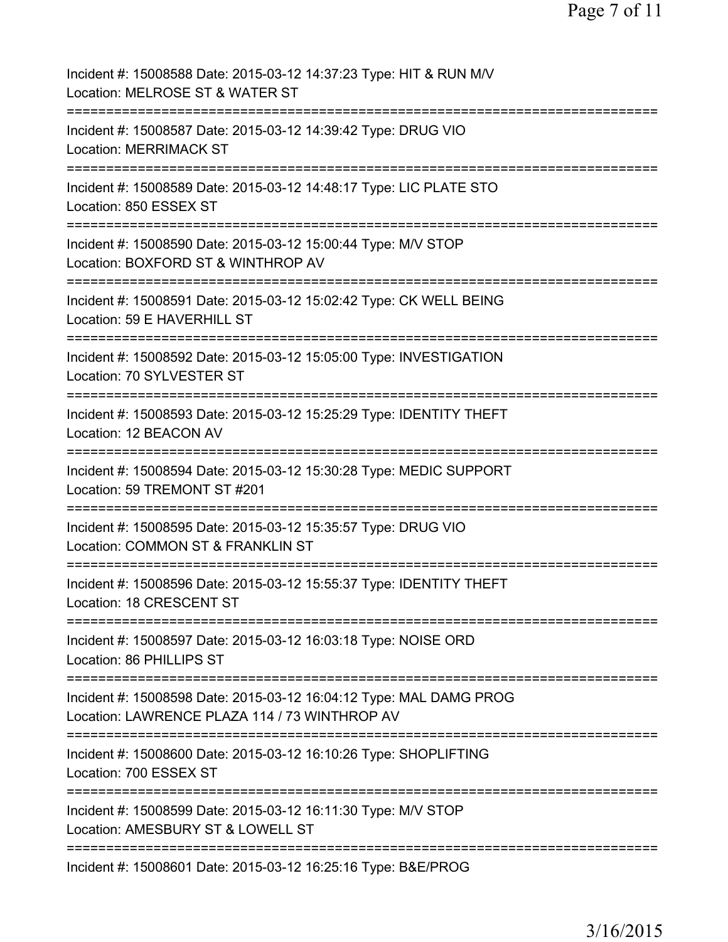| Incident #: 15008588 Date: 2015-03-12 14:37:23 Type: HIT & RUN M/V<br>Location: MELROSE ST & WATER ST                                |
|--------------------------------------------------------------------------------------------------------------------------------------|
| Incident #: 15008587 Date: 2015-03-12 14:39:42 Type: DRUG VIO<br><b>Location: MERRIMACK ST</b>                                       |
| Incident #: 15008589 Date: 2015-03-12 14:48:17 Type: LIC PLATE STO<br>Location: 850 ESSEX ST                                         |
| Incident #: 15008590 Date: 2015-03-12 15:00:44 Type: M/V STOP<br>Location: BOXFORD ST & WINTHROP AV                                  |
| Incident #: 15008591 Date: 2015-03-12 15:02:42 Type: CK WELL BEING<br>Location: 59 E HAVERHILL ST                                    |
| Incident #: 15008592 Date: 2015-03-12 15:05:00 Type: INVESTIGATION<br>Location: 70 SYLVESTER ST                                      |
| Incident #: 15008593 Date: 2015-03-12 15:25:29 Type: IDENTITY THEFT<br>Location: 12 BEACON AV<br>:================================== |
| Incident #: 15008594 Date: 2015-03-12 15:30:28 Type: MEDIC SUPPORT<br>Location: 59 TREMONT ST #201                                   |
| Incident #: 15008595 Date: 2015-03-12 15:35:57 Type: DRUG VIO<br>Location: COMMON ST & FRANKLIN ST                                   |
| Incident #: 15008596 Date: 2015-03-12 15:55:37 Type: IDENTITY THEFT<br>Location: 18 CRESCENT ST                                      |
| Incident #: 15008597 Date: 2015-03-12 16:03:18 Type: NOISE ORD<br>Location: 86 PHILLIPS ST                                           |
| Incident #: 15008598 Date: 2015-03-12 16:04:12 Type: MAL DAMG PROG<br>Location: LAWRENCE PLAZA 114 / 73 WINTHROP AV                  |
| Incident #: 15008600 Date: 2015-03-12 16:10:26 Type: SHOPLIFTING<br>Location: 700 ESSEX ST                                           |
| Incident #: 15008599 Date: 2015-03-12 16:11:30 Type: M/V STOP<br>Location: AMESBURY ST & LOWELL ST                                   |
| Incident #: 15008601 Date: 2015-03-12 16:25:16 Type: B&E/PROG                                                                        |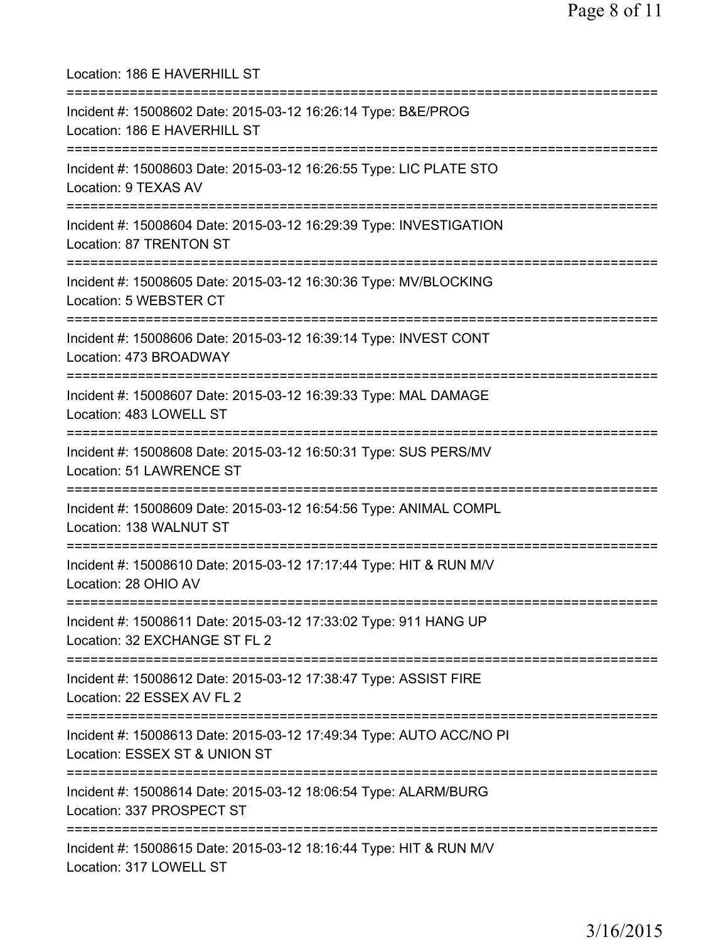Location: 186 E HAVERHILL ST =========================================================================== Incident #: 15008602 Date: 2015-03-12 16:26:14 Type: B&E/PROG Location: 186 E HAVERHILL ST =========================================================================== Incident #: 15008603 Date: 2015-03-12 16:26:55 Type: LIC PLATE STO Location: 9 TEXAS AV =========================================================================== Incident #: 15008604 Date: 2015-03-12 16:29:39 Type: INVESTIGATION Location: 87 TRENTON ST =========================================================================== Incident #: 15008605 Date: 2015-03-12 16:30:36 Type: MV/BLOCKING Location: 5 WEBSTER CT =========================================================================== Incident #: 15008606 Date: 2015-03-12 16:39:14 Type: INVEST CONT Location: 473 BROADWAY =========================================================================== Incident #: 15008607 Date: 2015-03-12 16:39:33 Type: MAL DAMAGE Location: 483 LOWELL ST =========================================================================== Incident #: 15008608 Date: 2015-03-12 16:50:31 Type: SUS PERS/MV Location: 51 LAWRENCE ST =========================================================================== Incident #: 15008609 Date: 2015-03-12 16:54:56 Type: ANIMAL COMPL Location: 138 WALNUT ST =========================================================================== Incident #: 15008610 Date: 2015-03-12 17:17:44 Type: HIT & RUN M/V Location: 28 OHIO AV =========================================================================== Incident #: 15008611 Date: 2015-03-12 17:33:02 Type: 911 HANG UP Location: 32 EXCHANGE ST FL 2 =========================================================================== Incident #: 15008612 Date: 2015-03-12 17:38:47 Type: ASSIST FIRE Location: 22 ESSEX AV FL 2 =========================================================================== Incident #: 15008613 Date: 2015-03-12 17:49:34 Type: AUTO ACC/NO PI Location: ESSEX ST & UNION ST =========================================================================== Incident #: 15008614 Date: 2015-03-12 18:06:54 Type: ALARM/BURG Location: 337 PROSPECT ST =========================================================================== Incident #: 15008615 Date: 2015-03-12 18:16:44 Type: HIT & RUN M/V Location: 317 LOWELL ST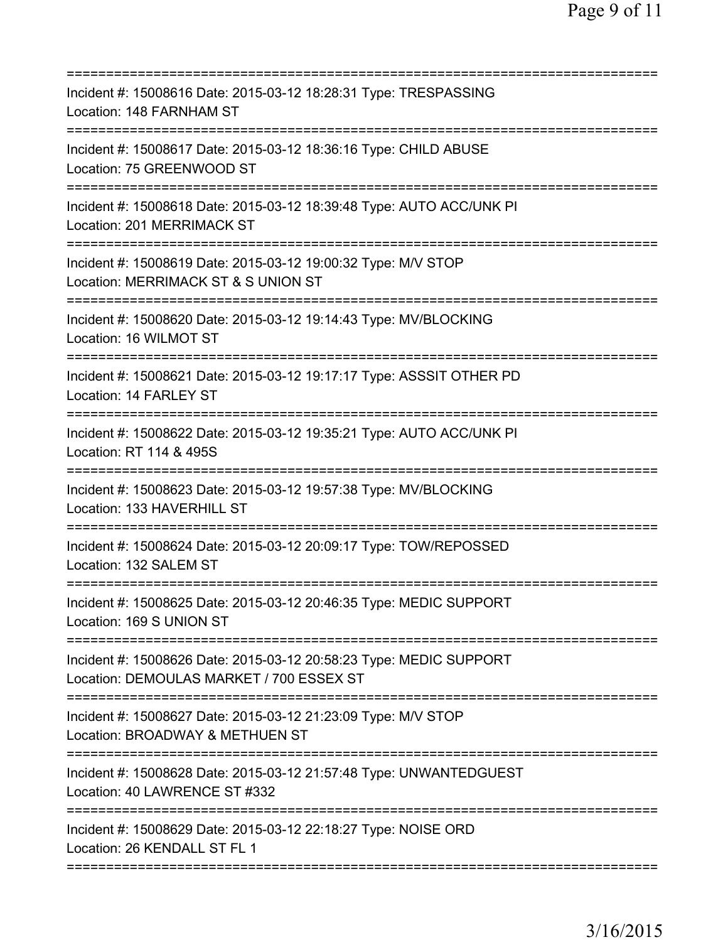| Incident #: 15008616 Date: 2015-03-12 18:28:31 Type: TRESPASSING<br>Location: 148 FARNHAM ST                                         |
|--------------------------------------------------------------------------------------------------------------------------------------|
| Incident #: 15008617 Date: 2015-03-12 18:36:16 Type: CHILD ABUSE<br>Location: 75 GREENWOOD ST                                        |
| Incident #: 15008618 Date: 2015-03-12 18:39:48 Type: AUTO ACC/UNK PI<br>Location: 201 MERRIMACK ST                                   |
| Incident #: 15008619 Date: 2015-03-12 19:00:32 Type: M/V STOP<br>Location: MERRIMACK ST & S UNION ST<br>========================     |
| Incident #: 15008620 Date: 2015-03-12 19:14:43 Type: MV/BLOCKING<br>Location: 16 WILMOT ST                                           |
| Incident #: 15008621 Date: 2015-03-12 19:17:17 Type: ASSSIT OTHER PD<br>Location: 14 FARLEY ST                                       |
| Incident #: 15008622 Date: 2015-03-12 19:35:21 Type: AUTO ACC/UNK PI<br>Location: RT 114 & 495S<br>================================= |
| Incident #: 15008623 Date: 2015-03-12 19:57:38 Type: MV/BLOCKING<br>Location: 133 HAVERHILL ST                                       |
| Incident #: 15008624 Date: 2015-03-12 20:09:17 Type: TOW/REPOSSED<br>Location: 132 SALEM ST                                          |
| Incident #: 15008625 Date: 2015-03-12 20:46:35 Type: MEDIC SUPPORT<br>Location: 169 S UNION ST                                       |
| Incident #: 15008626 Date: 2015-03-12 20:58:23 Type: MEDIC SUPPORT<br>Location: DEMOULAS MARKET / 700 ESSEX ST                       |
| Incident #: 15008627 Date: 2015-03-12 21:23:09 Type: M/V STOP<br>Location: BROADWAY & METHUEN ST                                     |
| Incident #: 15008628 Date: 2015-03-12 21:57:48 Type: UNWANTEDGUEST<br>Location: 40 LAWRENCE ST #332                                  |
| Incident #: 15008629 Date: 2015-03-12 22:18:27 Type: NOISE ORD<br>Location: 26 KENDALL ST FL 1                                       |
|                                                                                                                                      |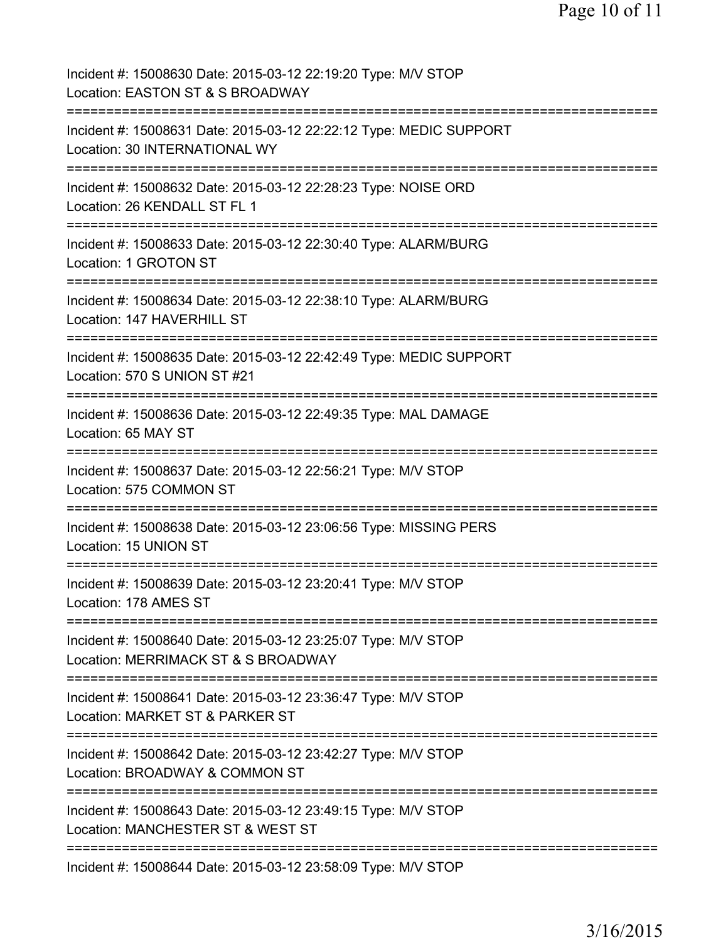| Incident #: 15008630 Date: 2015-03-12 22:19:20 Type: M/V STOP<br>Location: EASTON ST & S BROADWAY                          |
|----------------------------------------------------------------------------------------------------------------------------|
| Incident #: 15008631 Date: 2015-03-12 22:22:12 Type: MEDIC SUPPORT<br>Location: 30 INTERNATIONAL WY                        |
| Incident #: 15008632 Date: 2015-03-12 22:28:23 Type: NOISE ORD<br>Location: 26 KENDALL ST FL 1                             |
| Incident #: 15008633 Date: 2015-03-12 22:30:40 Type: ALARM/BURG<br>Location: 1 GROTON ST                                   |
| Incident #: 15008634 Date: 2015-03-12 22:38:10 Type: ALARM/BURG<br>Location: 147 HAVERHILL ST                              |
| Incident #: 15008635 Date: 2015-03-12 22:42:49 Type: MEDIC SUPPORT<br>Location: 570 S UNION ST #21                         |
| Incident #: 15008636 Date: 2015-03-12 22:49:35 Type: MAL DAMAGE<br>Location: 65 MAY ST                                     |
| Incident #: 15008637 Date: 2015-03-12 22:56:21 Type: M/V STOP<br>Location: 575 COMMON ST                                   |
| Incident #: 15008638 Date: 2015-03-12 23:06:56 Type: MISSING PERS<br>Location: 15 UNION ST                                 |
| Incident #: 15008639 Date: 2015-03-12 23:20:41 Type: M/V STOP<br>Location: 178 AMES ST                                     |
| Incident #: 15008640 Date: 2015-03-12 23:25:07 Type: M/V STOP<br>Location: MERRIMACK ST & S BROADWAY                       |
| ======================<br>Incident #: 15008641 Date: 2015-03-12 23:36:47 Type: M/V STOP<br>Location: MARKET ST & PARKER ST |
| Incident #: 15008642 Date: 2015-03-12 23:42:27 Type: M/V STOP<br>Location: BROADWAY & COMMON ST                            |
| Incident #: 15008643 Date: 2015-03-12 23:49:15 Type: M/V STOP<br>Location: MANCHESTER ST & WEST ST                         |
| Incident #: 15008644 Date: 2015-03-12 23:58:09 Type: M/V STOP                                                              |